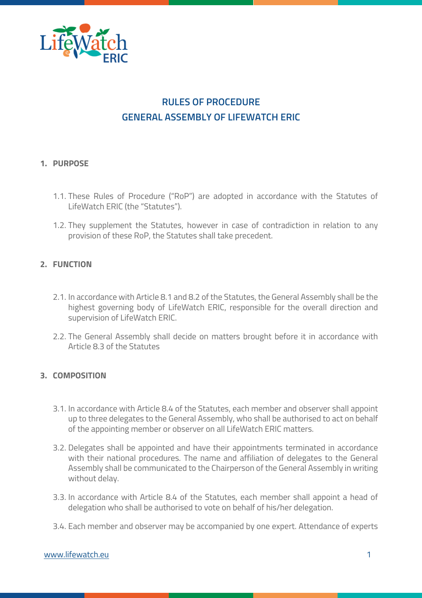

# **RULES OF PROCEDURE GENERAL ASSEMBLY OF LIFEWATCH ERIC**

# **1. PURPOSE**

- 1.1. These Rules of Procedure ("RoP") are adopted in accordance with the Statutes of LifeWatch ERIC (the "Statutes").
- 1.2. They supplement the Statutes, however in case of contradiction in relation to any provision of these RoP, the Statutes shall take precedent.

## **2. FUNCTION**

- 2.1. In accordance with Article 8.1 and 8.2 of the Statutes, the General Assembly shall be the highest governing body of LifeWatch ERIC, responsible for the overall direction and supervision of LifeWatch ERIC.
- 2.2. The General Assembly shall decide on matters brought before it in accordance with Article 8.3 of the Statutes

## **3. COMPOSITION**

- 3.1. In accordance with Article 8.4 of the Statutes, each member and observer shall appoint up to three delegates to the General Assembly, who shall be authorised to act on behalf of the appointing member or observer on all LifeWatch ERIC matters.
- 3.2. Delegates shall be appointed and have their appointments terminated in accordance with their national procedures. The name and affiliation of delegates to the General Assembly shall be communicated to the Chairperson of the General Assembly in writing without delay.
- 3.3. In accordance with Article 8.4 of the Statutes, each member shall appoint a head of delegation who shall be authorised to vote on behalf of his/her delegation.
- 3.4. Each member and observer may be accompanied by one expert. Attendance of experts

#### www.lifewatch.eu 2008 and 2008 and 2008 and 2008 and 2008 and 2008 and 2008 and 2008 and 2008 and 2008 and 200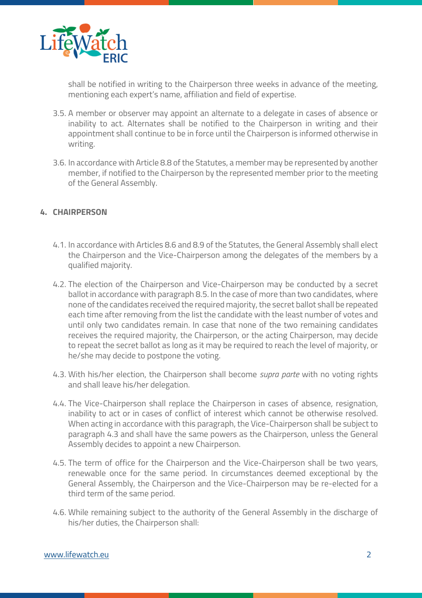

shall be notified in writing to the Chairperson three weeks in advance of the meeting, mentioning each expert's name, affiliation and field of expertise.

- 3.5. A member or observer may appoint an alternate to a delegate in cases of absence or inability to act. Alternates shall be notified to the Chairperson in writing and their appointment shall continue to be in force until the Chairperson is informed otherwise in writing.
- 3.6. In accordance with Article 8.8 of the Statutes, a member may be represented by another member, if notified to the Chairperson by the represented member prior to the meeting of the General Assembly.

## **4. CHAIRPERSON**

- 4.1. In accordance with Articles 8.6 and 8.9 of the Statutes, the General Assembly shall elect the Chairperson and the Vice-Chairperson among the delegates of the members by a qualified majority.
- 4.2. The election of the Chairperson and Vice-Chairperson may be conducted by a secret ballot in accordance with paragraph 8.5. In the case of more than two candidates, where none of the candidates received the required majority, the secret ballot shall be repeated each time after removing from the list the candidate with the least number of votes and until only two candidates remain. In case that none of the two remaining candidates receives the required majority, the Chairperson, or the acting Chairperson, may decide to repeat the secret ballot as long as it may be required to reach the level of majority, or he/she may decide to postpone the voting.
- 4.3. With his/her election, the Chairperson shall become *supra parte* with no voting rights and shall leave his/her delegation.
- 4.4. The Vice-Chairperson shall replace the Chairperson in cases of absence, resignation, inability to act or in cases of conflict of interest which cannot be otherwise resolved. When acting in accordance with this paragraph, the Vice-Chairperson shall be subject to paragraph 4.3 and shall have the same powers as the Chairperson, unless the General Assembly decides to appoint a new Chairperson.
- 4.5. The term of office for the Chairperson and the Vice-Chairperson shall be two years, renewable once for the same period. In circumstances deemed exceptional by the General Assembly, the Chairperson and the Vice-Chairperson may be re-elected for a third term of the same period.
- 4.6. While remaining subject to the authority of the General Assembly in the discharge of his/her duties, the Chairperson shall: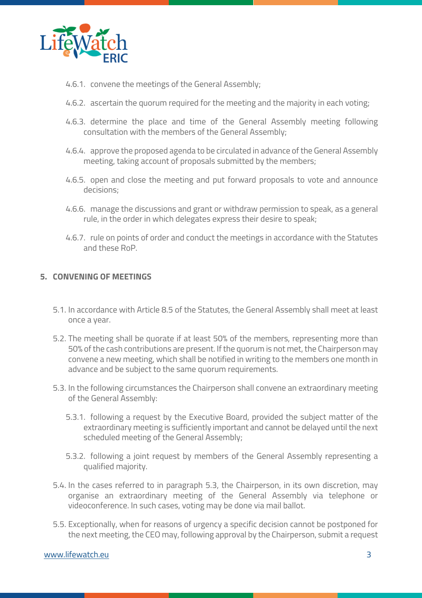

- 4.6.1. convene the meetings of the General Assembly;
- 4.6.2. ascertain the quorum required for the meeting and the majority in each voting;
- 4.6.3. determine the place and time of the General Assembly meeting following consultation with the members of the General Assembly;
- 4.6.4. approve the proposed agenda to be circulated in advance of the General Assembly meeting, taking account of proposals submitted by the members;
- 4.6.5. open and close the meeting and put forward proposals to vote and announce decisions;
- 4.6.6. manage the discussions and grant or withdraw permission to speak, as a general rule, in the order in which delegates express their desire to speak;
- 4.6.7. rule on points of order and conduct the meetings in accordance with the Statutes and these RoP.

## **5. CONVENING OF MEETINGS**

- 5.1. In accordance with Article 8.5 of the Statutes, the General Assembly shall meet at least once a year.
- 5.2. The meeting shall be quorate if at least 50% of the members, representing more than 50% of the cash contributions are present. If the quorum is not met, the Chairperson may convene a new meeting, which shall be notified in writing to the members one month in advance and be subject to the same quorum requirements.
- 5.3. In the following circumstances the Chairperson shall convene an extraordinary meeting of the General Assembly:
	- 5.3.1. following a request by the Executive Board, provided the subject matter of the extraordinary meeting is sufficiently important and cannot be delayed until the next scheduled meeting of the General Assembly;
	- 5.3.2. following a joint request by members of the General Assembly representing a qualified majority.
- 5.4. In the cases referred to in paragraph 5.3, the Chairperson, in its own discretion, may organise an extraordinary meeting of the General Assembly via telephone or videoconference. In such cases, voting may be done via mail ballot.
- 5.5. Exceptionally, when for reasons of urgency a specific decision cannot be postponed for the next meeting, the CEO may, following approval by the Chairperson, submit a request

#### www.lifewatch.eu 3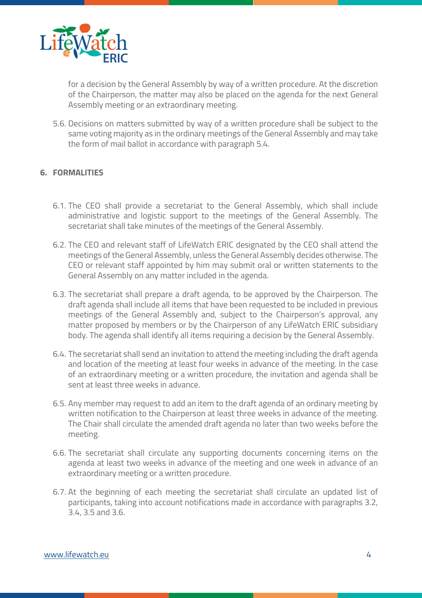

for a decision by the General Assembly by way of a written procedure. At the discretion of the Chairperson, the matter may also be placed on the agenda for the next General Assembly meeting or an extraordinary meeting.

5.6. Decisions on matters submitted by way of a written procedure shall be subject to the same voting majority as in the ordinary meetings of the General Assembly and may take the form of mail ballot in accordance with paragraph 5.4.

# **6. FORMALITIES**

- 6.1. The CEO shall provide a secretariat to the General Assembly, which shall include administrative and logistic support to the meetings of the General Assembly. The secretariat shall take minutes of the meetings of the General Assembly.
- 6.2. The CEO and relevant staff of LifeWatch ERIC designated by the CEO shall attend the meetings of the General Assembly, unless the General Assembly decides otherwise. The CEO or relevant staff appointed by him may submit oral or written statements to the General Assembly on any matter included in the agenda.
- 6.3. The secretariat shall prepare a draft agenda, to be approved by the Chairperson. The draft agenda shall include all items that have been requested to be included in previous meetings of the General Assembly and, subject to the Chairperson's approval, any matter proposed by members or by the Chairperson of any LifeWatch ERIC subsidiary body. The agenda shall identify all items requiring a decision by the General Assembly.
- 6.4. The secretariat shall send an invitation to attend the meeting including the draft agenda and location of the meeting at least four weeks in advance of the meeting. In the case of an extraordinary meeting or a written procedure, the invitation and agenda shall be sent at least three weeks in advance.
- 6.5. Any member may request to add an item to the draft agenda of an ordinary meeting by written notification to the Chairperson at least three weeks in advance of the meeting. The Chair shall circulate the amended draft agenda no later than two weeks before the meeting.
- 6.6. The secretariat shall circulate any supporting documents concerning items on the agenda at least two weeks in advance of the meeting and one week in advance of an extraordinary meeting or a written procedure.
- 6.7. At the beginning of each meeting the secretariat shall circulate an updated list of participants, taking into account notifications made in accordance with paragraphs 3.2, 3.4, 3.5 and 3.6.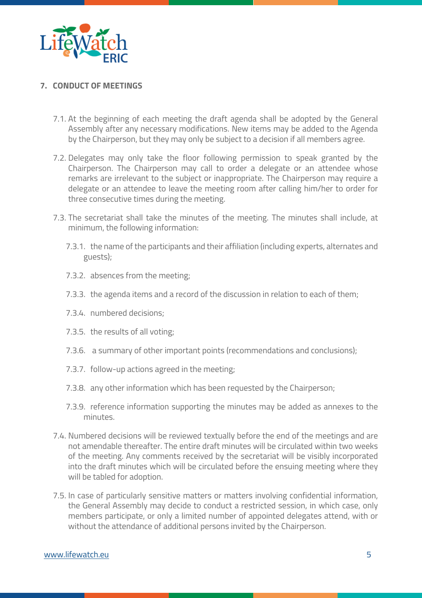

## **7. CONDUCT OF MEETINGS**

- 7.1. At the beginning of each meeting the draft agenda shall be adopted by the General Assembly after any necessary modifications. New items may be added to the Agenda by the Chairperson, but they may only be subject to a decision if all members agree.
- 7.2. Delegates may only take the floor following permission to speak granted by the Chairperson. The Chairperson may call to order a delegate or an attendee whose remarks are irrelevant to the subject or inappropriate. The Chairperson may require a delegate or an attendee to leave the meeting room after calling him/her to order for three consecutive times during the meeting.
- 7.3. The secretariat shall take the minutes of the meeting. The minutes shall include, at minimum, the following information:
	- 7.3.1. the name of the participants and their affiliation (including experts, alternates and guests);
	- 7.3.2. absences from the meeting;
	- 7.3.3. the agenda items and a record of the discussion in relation to each of them;
	- 7.3.4. numbered decisions;
	- 7.3.5. the results of all voting;
	- 7.3.6. a summary of other important points (recommendations and conclusions);
	- 7.3.7. follow-up actions agreed in the meeting;
	- 7.3.8. any other information which has been requested by the Chairperson;
	- 7.3.9. reference information supporting the minutes may be added as annexes to the minutes.
- 7.4. Numbered decisions will be reviewed textually before the end of the meetings and are not amendable thereafter. The entire draft minutes will be circulated within two weeks of the meeting. Any comments received by the secretariat will be visibly incorporated into the draft minutes which will be circulated before the ensuing meeting where they will be tabled for adoption.
- 7.5. In case of particularly sensitive matters or matters involving confidential information, the General Assembly may decide to conduct a restricted session, in which case, only members participate, or only a limited number of appointed delegates attend, with or without the attendance of additional persons invited by the Chairperson.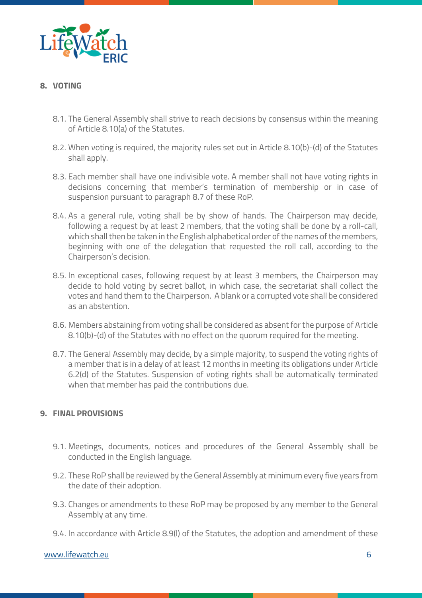

## **8. VOTING**

- 8.1. The General Assembly shall strive to reach decisions by consensus within the meaning of Article 8.10(a) of the Statutes.
- 8.2. When voting is required, the majority rules set out in Article 8.10(b)-(d) of the Statutes shall apply.
- 8.3. Each member shall have one indivisible vote. A member shall not have voting rights in decisions concerning that member's termination of membership or in case of suspension pursuant to paragraph 8.7 of these RoP.
- 8.4. As a general rule, voting shall be by show of hands. The Chairperson may decide, following a request by at least 2 members, that the voting shall be done by a roll-call, which shall then be taken in the English alphabetical order of the names of the members, beginning with one of the delegation that requested the roll call, according to the Chairperson's decision.
- 8.5. In exceptional cases, following request by at least 3 members, the Chairperson may decide to hold voting by secret ballot, in which case, the secretariat shall collect the votes and hand them to the Chairperson. A blank or a corrupted vote shall be considered as an abstention.
- 8.6. Members abstaining from voting shall be considered as absent for the purpose of Article 8.10(b)-(d) of the Statutes with no effect on the quorum required for the meeting.
- 8.7. The General Assembly may decide, by a simple majority, to suspend the voting rights of a member that is in a delay of at least 12 months in meeting its obligations under Article 6.2(d) of the Statutes. Suspension of voting rights shall be automatically terminated when that member has paid the contributions due.

## **9. FINAL PROVISIONS**

- 9.1. Meetings, documents, notices and procedures of the General Assembly shall be conducted in the English language.
- 9.2. These RoP shall be reviewed by the General Assembly at minimum every five years from the date of their adoption.
- 9.3. Changes or amendments to these RoP may be proposed by any member to the General Assembly at any time.
- 9.4. In accordance with Article 8.9(l) of the Statutes, the adoption and amendment of these

#### www.lifewatch.eu 6